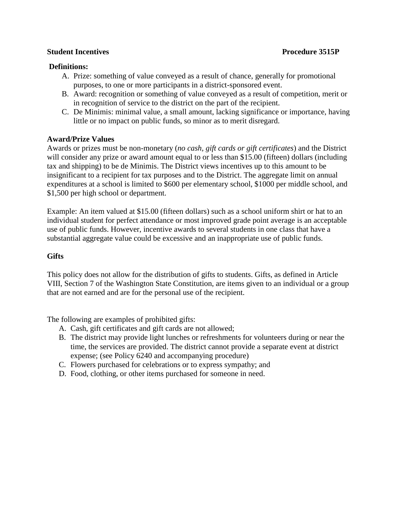### **Student Incentives Procedure 3515P**

# **Definitions:**

- A. Prize: something of value conveyed as a result of chance, generally for promotional purposes, to one or more participants in a district-sponsored event.
- B. Award: recognition or something of value conveyed as a result of competition, merit or in recognition of service to the district on the part of the recipient.
- C. De Minimis: minimal value, a small amount, lacking significance or importance, having little or no impact on public funds, so minor as to merit disregard.

## **Award/Prize Values**

Awards or prizes must be non-monetary (*no cash, gift cards or gift certificates*) and the District will consider any prize or award amount equal to or less than \$15.00 (fifteen) dollars (including tax and shipping) to be de Minimis. The District views incentives up to this amount to be insignificant to a recipient for tax purposes and to the District. The aggregate limit on annual expenditures at a school is limited to \$600 per elementary school, \$1000 per middle school, and \$1,500 per high school or department.

Example: An item valued at \$15.00 (fifteen dollars) such as a school uniform shirt or hat to an individual student for perfect attendance or most improved grade point average is an acceptable use of public funds. However, incentive awards to several students in one class that have a substantial aggregate value could be excessive and an inappropriate use of public funds.

# **Gifts**

This policy does not allow for the distribution of gifts to students. Gifts, as defined in Article VIII, Section 7 of the Washington State Constitution, are items given to an individual or a group that are not earned and are for the personal use of the recipient.

The following are examples of prohibited gifts:

- A. Cash, gift certificates and gift cards are not allowed;
- B. The district may provide light lunches or refreshments for volunteers during or near the time, the services are provided. The district cannot provide a separate event at district expense; (see Policy 6240 and accompanying procedure)
- C. Flowers purchased for celebrations or to express sympathy; and
- D. Food, clothing, or other items purchased for someone in need.